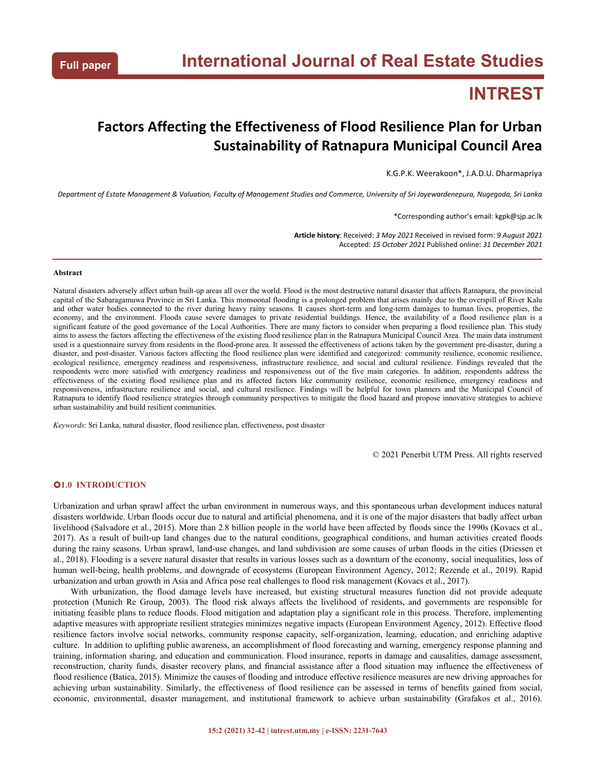# **INTREST**

## **Factors Affecting the Effectiveness of Flood Resilience Plan for Urban Sustainability of Ratnapura Municipal Council Area**

K.G.P.K. Weerakoon\*, J.A.D.U. Dharmapriya

Department of Estate Management & Valuation, Faculty of Management Studies and Commerce, University of Sri Jayewardenepura, Nugegoda, Sri Lanka

\*Corresponding author's email: kgpk@sjp.ac.lk

**Article history**: Received: *3 May 2021* Received in revised form: *9 August 2021* Accepted: *15 October 2021* Published online: *31 December 2021*

#### **Abstract**

Natural disasters adversely affect urban built-up areas all over the world. Flood is the most destructive natural disaster that affects Ratnapura, the provincial capital of the Sabaragamuwa Province in Sri Lanka. This monsoonal flooding is a prolonged problem that arises mainly due to the overspill of River Kalu and other water bodies connected to the river during heavy rainy seasons. It causes short-term and long-term damages to human lives, properties, the economy, and the environment. Floods cause severe damages to private residential buildings. Hence, the availability of a flood resilience plan is a significant feature of the good governance of the Local Authorities. There are many factors to consider when preparing a flood resilience plan. This study aims to assess the factors affecting the effectiveness ofthe existing flood resilience plan in the Ratnapura Municipal Council Area. The main data instrument used is a questionnaire survey from residents in the flood-prone area. It assessed the effectiveness of actions taken by the government pre-disaster, during a disaster, and post-disaster. Various factors affecting the flood resilience plan were identified and categorized: community resilience, economic resilience, ecological resilience, emergency readiness and responsiveness, infrastructure resilience, and social and cultural resilience. Findings revealed that the respondents were more satisfied with emergency readiness and responsiveness out of the five main categories. In addition, respondents address the effectiveness of the existing flood resilience plan and its affected factors like community resilience, economic resilience, emergency readiness and responsiveness, infrastructure resilience and social, and cultural resilience. Findings will be helpful for town planners and the Municipal Council of Ratnapura to identify flood resilience strategies through community perspectives to mitigate the flood hazard and propose innovative strategies to achieve urban sustainability and build resilient communities.

*Keywords*: Sri Lanka, natural disaster, flood resilience plan, effectiveness, post disaster

© 2021 Penerbit UTM Press. All rights reserved

## **1.0 INTRODUCTION**

Urbanization and urban sprawl affect the urban environment in numerous ways, and this spontaneous urban development induces natural disasters worldwide. Urban floods occur due to natural and artificial phenomena, and it is one of the major disasters that badly affect urban livelihood (Salvadore et al., 2015). More than 2.8 billion people in the world have been affected by floods since the 1990s (Kovacs et al., 2017). As a result of built-up land changes due to the natural conditions, geographical conditions, and human activities created floods during the rainy seasons. Urban sprawl, land-use changes, and land subdivision are some causes of urban floods in the cities (Driessen et al., 2018). Flooding is a severe natural disaster that results in various losses such as a downturn of the economy, social inequalities, loss of human well-being, health problems, and downgrade of ecosystems (European Environment Agency, 2012; Rezende et al., 2019). Rapid urbanization and urban growth in Asia and Africa pose real challenges to flood risk management (Kovacs et al., 2017).

With urbanization, the flood damage levels have increased, but existing structural measures function did not provide adequate protection (Munich Re Group, 2003). The flood risk always affects the livelihood of residents, and governments are responsible for initiating feasible plans to reduce floods. Flood mitigation and adaptation play a significant role in this process. Therefore, implementing adaptive measures with appropriate resilient strategies minimizes negative impacts (European Environment Agency, 2012). Effective flood resilience factors involve social networks, community response capacity, self-organization, learning, education, and enriching adaptive culture. In addition to uplifting public awareness, an accomplishment of flood forecasting and warning, emergency response planning and training, information sharing, and education and communication. Flood insurance, reports in damage and causalities, damage assessment, reconstruction, charity funds, disaster recovery plans, and financial assistance after a flood situation may influence the effectiveness of flood resilience (Batica, 2015). Minimize the causes of flooding and introduce effective resilience measures are new driving approaches for achieving urban sustainability. Similarly, the effectiveness of flood resilience can be assessed in terms of benefits gained from social, economic, environmental, disaster management, and institutional framework to achieve urban sustainability (Grafakos et al., 2016).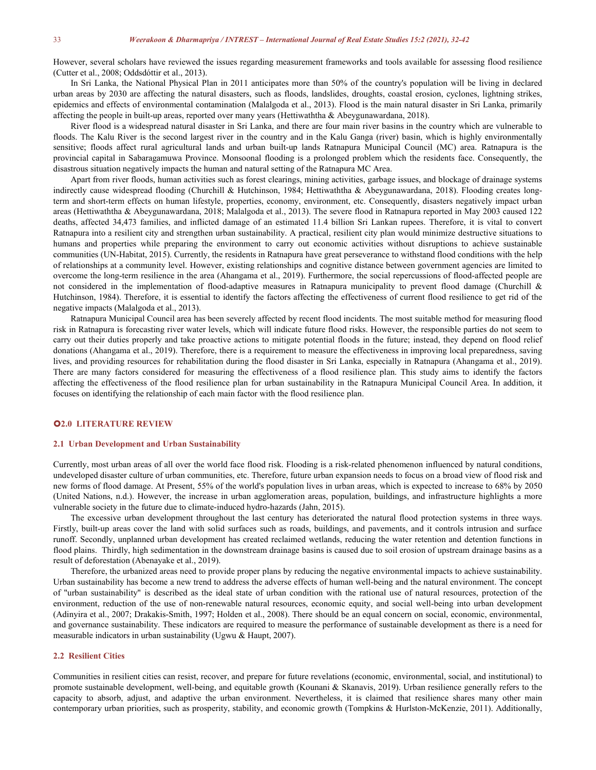However, several scholars have reviewed the issues regarding measurement frameworks and tools available for assessing flood resilience (Cutter et al., 2008; Oddsdóttir et al., 2013).

In Sri Lanka, the National Physical Plan in 2011 anticipates more than 50% of the country's population will be living in declared urban areas by 2030 are affecting the natural disasters, such as floods, landslides, droughts, coastal erosion, cyclones, lightning strikes, epidemics and effects of environmental contamination (Malalgoda et al., 2013). Flood is the main natural disaster in Sri Lanka, primarily affecting the people in built-up areas, reported over many years (Hettiwaththa & Abeygunawardana, 2018).

River flood is a widespread natural disaster in Sri Lanka, and there are four main river basins in the country which are vulnerable to floods. The Kalu River is the second largest river in the country and in the Kalu Ganga (river) basin, which is highly environmentally sensitive; floods affect rural agricultural lands and urban built-up lands Ratnapura Municipal Council (MC) area. Ratnapura is the provincial capital in Sabaragamuwa Province. Monsoonal flooding is a prolonged problem which the residents face. Consequently, the disastrous situation negatively impacts the human and natural setting of the Ratnapura MC Area.

Apart from river floods, human activities such as forest clearings, mining activities, garbage issues, and blockage of drainage systems indirectly cause widespread flooding (Churchill & Hutchinson, 1984; Hettiwaththa & Abeygunawardana, 2018). Flooding creates longterm and short-term effects on human lifestyle, properties, economy, environment, etc. Consequently, disasters negatively impact urban areas (Hettiwaththa & Abeygunawardana, 2018; Malalgoda et al., 2013). The severe flood in Ratnapura reported in May 2003 caused 122 deaths, affected 34,473 families, and inflicted damage of an estimated 11.4 billion Sri Lankan rupees. Therefore, it is vital to convert Ratnapura into a resilient city and strengthen urban sustainability. A practical, resilient city plan would minimize destructive situations to humans and properties while preparing the environment to carry out economic activities without disruptions to achieve sustainable communities (UN-Habitat, 2015). Currently, the residents in Ratnapura have great perseverance to withstand flood conditions with the help of relationships at a community level. However, existing relationships and cognitive distance between government agencies are limited to overcome the long-term resilience in the area (Ahangama et al., 2019). Furthermore, the social repercussions offlood-affected people are not considered in the implementation of flood-adaptive measures in Ratnapura municipality to prevent flood damage (Churchill & Hutchinson, 1984). Therefore, it is essential to identify the factors affecting the effectiveness of current flood resilience to get rid of the negative impacts (Malalgoda et al., 2013).

Ratnapura Municipal Council area has been severely affected by recent flood incidents. The most suitable method for measuring flood risk in Ratnapura isforecasting river water levels, which will indicate future flood risks. However, the responsible parties do not seem to carry out their duties properly and take proactive actions to mitigate potential floods in the future; instead, they depend on flood relief donations (Ahangama et al., 2019). Therefore, there is a requirement to measure the effectiveness in improving local preparedness, saving lives, and providing resources for rehabilitation during the flood disaster in Sri Lanka, especially in Ratnapura (Ahangama et al., 2019). There are many factors considered for measuring the effectiveness of a flood resilience plan. This study aims to identify the factors affecting the effectiveness of the flood resilience plan for urban sustainability in the Ratnapura Municipal Council Area. In addition, it focuses on identifying the relationship of each main factor with the flood resilience plan.

## **2.0 LITERATURE REVIEW**

#### **2.1 Urban Development and Urban Sustainability**

Currently, most urban areas of all over the world face flood risk. Flooding is a risk-related phenomenon influenced by natural conditions, undeveloped disaster culture of urban communities, etc. Therefore, future urban expansion needs to focus on a broad view of flood risk and new forms of flood damage. At Present, 55% of the world's population lives in urban areas, which is expected to increase to 68% by 2050 (United Nations, n.d.). However, the increase in urban agglomeration areas, population, buildings, and infrastructure highlights a more vulnerable society in the future due to climate-induced hydro-hazards (Jahn,2015).

The excessive urban development throughout the last century has deteriorated the natural flood protection systems in three ways. Firstly, built-up areas cover the land with solid surfaces such as roads, buildings, and pavements, and it controls intrusion and surface runoff. Secondly, unplanned urban development has created reclaimed wetlands, reducing the water retention and detention functions in flood plains. Thirdly, high sedimentation in the downstream drainage basins is caused due to soil erosion of upstream drainage basins as a result of deforestation (Abenayake et al., 2019).

Therefore, the urbanized areas need to provide proper plans by reducing the negative environmental impacts to achieve sustainability. Urban sustainability has become a new trend to address the adverse effects of human well-being and the naturalenvironment. The concept of "urban sustainability" is described as the ideal state of urban condition with the rational use of natural resources, protection of the environment, reduction of the use of non-renewable natural resources, economic equity, and social well-being into urban development (Adinyira et al., 2007; Drakakis-Smith, 1997; Holden et al., 2008). There should be an equal concern on social, economic, environmental, and governance sustainability. These indicators are required to measure the performance of sustainable development as there is a need for measurable indicators in urban sustainability (Ugwu & Haupt, 2007).

#### **2.2 Resilient Cities**

Communities in resilient cities can resist, recover, and prepare for future revelations (economic, environmental, social, and institutional) to promote sustainable development, well-being, and equitable growth (Kounani & Skanavis, 2019). Urban resilience generally refers to the capacity to absorb, adjust, and adaptive the urban environment. Nevertheless, it is claimed that resilience shares many other main contemporary urban priorities, such as prosperity, stability, and economic growth (Tompkins & Hurlston-McKenzie, 2011). Additionally,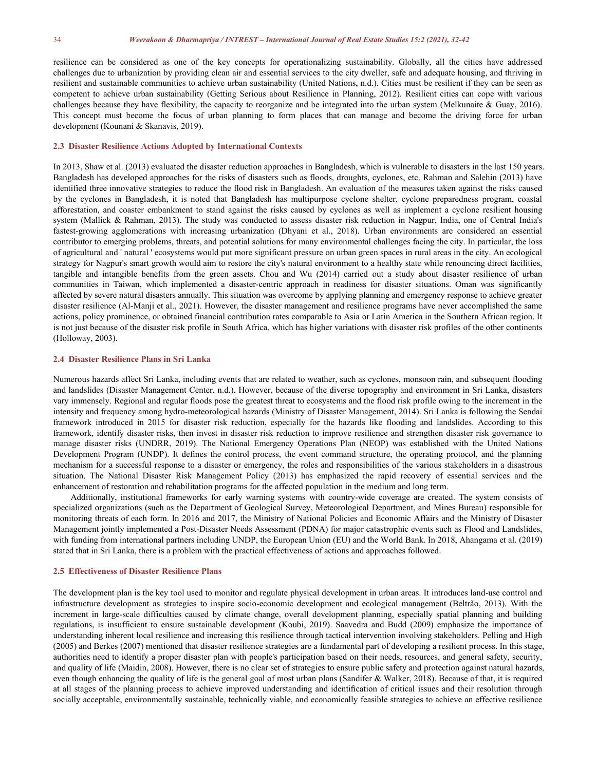resilience can be considered as one of the key concepts for operationalizing sustainability. Globally, all the cities have addressed challenges due to urbanization by providing clean air and essential services to the city dweller, safe and adequate housing, and thriving in resilient and sustainable communities to achieve urban sustainability (United Nations, n.d.). Cities must be resilient if they can be seen as competent to achieve urban sustainability (Getting Serious about Resilience in Planning, 2012). Resilient cities can cope with various challenges because they have flexibility, the capacity to reorganize and be integrated into the urban system (Melkunaite & Guay, 2016). This concept must become the focus of urban planning to form places that can manage and become the driving force for urban development (Kounani & Skanavis, 2019).

### **2.3 Disaster Resilience Actions Adopted by International Contexts**

In 2013, Shaw et al. (2013) evaluated the disaster reduction approaches in Bangladesh, which is vulnerable to disasters in the last 150 years. Bangladesh has developed approaches for the risks of disasters such as floods, droughts, cyclones, etc. Rahman and Salehin (2013) have identified three innovative strategies to reduce the flood risk in Bangladesh. An evaluation of the measures taken against the risks caused by the cyclones in Bangladesh, it is noted that Bangladesh has multipurpose cyclone shelter, cyclone preparedness program, coastal afforestation, and coaster embankment to stand against the risks caused by cyclones as wellas implement a cyclone resilient housing system (Mallick & Rahman, 2013). The study was conducted to assess disaster risk reduction in Nagpur, India, one of Central India's fastest-growing agglomerations with increasing urbanization (Dhyani et al., 2018). Urban environments are considered an essential contributor to emerging problems, threats, and potential solutions for many environmental challenges facing the city. In particular, the loss of agricultural and ' natural ' ecosystems would put more significant pressure on urban green spaces in rural areas in the city. An ecological strategy for Nagpur's smart growth would aim to restore the city's natural environment to a healthy state while renouncing direct facilities, tangible and intangible benefits from the green assets. Chou and Wu (2014) carried out a study about disaster resilience of urban communities in Taiwan, which implemented a disaster-centric approach in readiness for disaster situations. Oman was significantly affected by severe natural disasters annually. This situation was overcome by applying planning and emergency response to achieve greater disaster resilience (Al-Manji et al., 2021). However, the disaster management and resilience programs have never accomplished the same actions, policy prominence, or obtained financial contribution rates comparable to Asia or Latin America in the Southern African region. It is not just because of the disaster risk profile in South Africa, which has higher variations with disaster risk profiles of the other continents (Holloway, 2003).

## **2.4 Disaster Resilience Plans in Sri Lanka**

Numerous hazards affect Sri Lanka, including events that are related to weather, such as cyclones, monsoon rain, and subsequent flooding and landslides (Disaster Management Center, n.d.). However, because of the diverse topography and environment in Sri Lanka, disasters vary immensely. Regional and regular floods pose the greatest threat to ecosystems and the flood risk profile owing to the increment in the intensity and frequency among hydro-meteorological hazards (Ministry of Disaster Management, 2014). Sri Lanka is following the Sendai framework introduced in 2015 for disaster risk reduction, especially for the hazards like flooding and landslides.According to this framework, identify disaster risks, then invest in disaster risk reduction to improve resilience and strengthen disaster risk governance to manage disaster risks (UNDRR, 2019). The National Emergency Operations Plan (NEOP) was established with the United Nations Development Program (UNDP). It defines the control process, the event command structure, the operating protocol, and the planning mechanism for a successful response to a disaster or emergency, the roles and responsibilities of the various stakeholders in a disastrous situation. The National Disaster Risk Management Policy (2013) has emphasized the rapid recovery of essential services and the enhancement of restoration and rehabilitation programs for the affected population in the medium and long term.

Additionally, institutional frameworks for early warning systems with country-wide coverage are created. The system consists of specialized organizations (such as the Department of Geological Survey, Meteorological Department, and Mines Bureau) responsible for monitoring threats of each form. In 2016 and 2017, the Ministry of National Policies and Economic Affairs and the Ministry of Disaster Management jointly implemented a Post-Disaster Needs Assessment (PDNA) for major catastrophic events such as Flood and Landslides, with funding from international partners including UNDP, the European Union (EU) and the World Bank. In 2018, Ahangama et al. (2019) stated that in Sri Lanka, there is a problem with the practical effectiveness of actions and approaches followed.

## **2.5 Effectiveness ofDisaster Resilience Plans**

The development plan is the key tool used to monitor and regulate physical development in urban areas. It introduces land-use controland infrastructure development as strategies to inspire socio-economic development and ecological management (Beltrão, 2013). With the increment in large-scale difficulties caused by climate change, overall development planning, especially spatial planning and building regulations, is insufficient to ensure sustainable development (Koubi, 2019). Saavedra and Budd (2009) emphasize the importance of understanding inherent local resilience and increasing this resilience through tactical intervention involving stakeholders. Pelling and High (2005) and Berkes (2007) mentioned that disaster resilience strategies are a fundamental part of developing a resilient process. In this stage, authorities need to identify a proper disaster plan with people's participation based on their needs, resources, and general safety, security, and quality of life (Maidin, 2008). However, there is no clear set of strategies to ensure public safety and protection against natural hazards, even though enhancing the quality of life isthe general goal of most urban plans (Sandifer & Walker, 2018). Because of that, it is required at all stages of the planning process to achieve improved understanding and identification of critical issues and their resolution through socially acceptable, environmentally sustainable, technically viable, and economically feasible strategies to achieve an effective resilience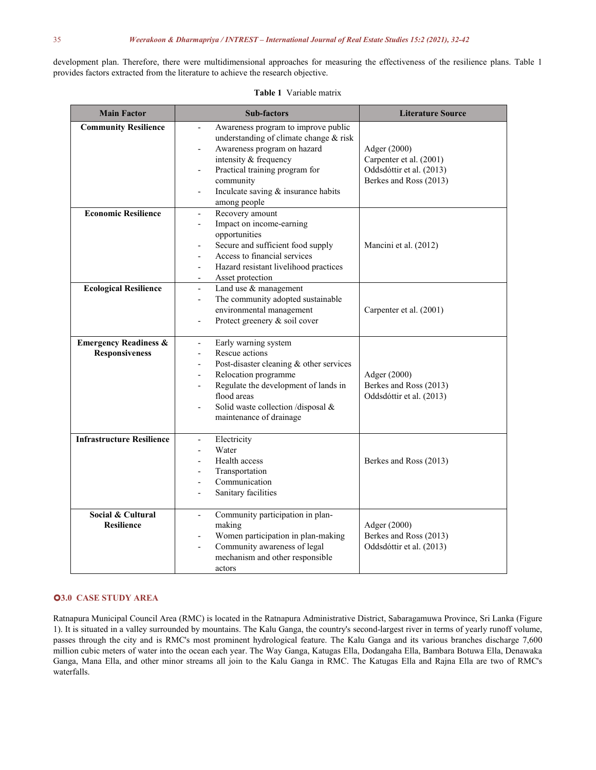development plan. Therefore, there were multidimensional approaches for measuring the effectiveness of the resilience plans. Table 1 provides factors extracted from the literature to achieve the research objective.

| <b>Main Factor</b>                                        | <b>Sub-factors</b>                                                                                                                                                                                                                                                                                                                              | <b>Literature Source</b>                                                                      |  |
|-----------------------------------------------------------|-------------------------------------------------------------------------------------------------------------------------------------------------------------------------------------------------------------------------------------------------------------------------------------------------------------------------------------------------|-----------------------------------------------------------------------------------------------|--|
| <b>Community Resilience</b>                               | Awareness program to improve public<br>$\overline{a}$<br>understanding of climate change & risk<br>Awareness program on hazard<br>$\overline{a}$<br>intensity & frequency<br>Practical training program for<br>$\overline{a}$<br>community<br>Inculcate saving & insurance habits<br>among people                                               | Adger (2000)<br>Carpenter et al. (2001)<br>Oddsdóttir et al. (2013)<br>Berkes and Ross (2013) |  |
| <b>Economic Resilience</b>                                | Recovery amount<br>$\overline{\phantom{m}}$<br>Impact on income-earning<br>opportunities<br>Secure and sufficient food supply<br>Access to financial services<br>Hazard resistant livelihood practices<br>$\overline{a}$<br>Asset protection<br>$\overline{\phantom{a}}$                                                                        | Mancini et al. (2012)                                                                         |  |
| <b>Ecological Resilience</b>                              | Land use & management<br>$\overline{\phantom{a}}$<br>The community adopted sustainable<br>$\overline{\phantom{m}}$<br>environmental management<br>Protect greenery & soil cover<br>$\overline{a}$                                                                                                                                               | Carpenter et al. (2001)                                                                       |  |
| <b>Emergency Readiness &amp;</b><br><b>Responsiveness</b> | Early warning system<br>$\overline{\phantom{a}}$<br>Rescue actions<br>$\overline{\phantom{a}}$<br>Post-disaster cleaning & other services<br>$\overline{a}$<br>Relocation programme<br>$\overline{a}$<br>Regulate the development of lands in<br>flood areas<br>Solid waste collection /disposal &<br>$\overline{a}$<br>maintenance of drainage | Adger (2000)<br>Berkes and Ross (2013)<br>Oddsdóttir et al. (2013)                            |  |
| <b>Infrastructure Resilience</b>                          | Electricity<br>$\overline{\phantom{a}}$<br>Water<br>$\overline{a}$<br>Health access<br>Transportation<br>Communication<br>Sanitary facilities                                                                                                                                                                                                   | Berkes and Ross (2013)                                                                        |  |
| Social & Cultural<br><b>Resilience</b>                    | Community participation in plan-<br>$\overline{\phantom{a}}$<br>making<br>Women participation in plan-making<br>$\overline{\phantom{m}}$<br>Community awareness of legal<br>$\overline{a}$<br>mechanism and other responsible<br>actors                                                                                                         | Adger (2000)<br>Berkes and Ross (2013)<br>Oddsdóttir et al. (2013)                            |  |

## **Table 1** Variable matrix

## **3.0 CASE STUDY AREA**

Ratnapura Municipal Council Area (RMC) is located in the Ratnapura Administrative District, Sabaragamuwa Province, Sri Lanka (Figure 1). It is situated in a valley surrounded by mountains. The Kalu Ganga, the country's second-largest river in terms of yearly runoff volume, passes through the city and is RMC's most prominent hydrological feature. The Kalu Ganga and its various branches discharge 7,600 million cubic meters ofwater into the ocean each year. The Way Ganga, Katugas Ella, Dodangaha Ella, Bambara Botuwa Ella, Denawaka Ganga, Mana Ella, and other minor streams all join to the Kalu Ganga in RMC. The Katugas Ella and Rajna Ella are two of RMC's waterfalls.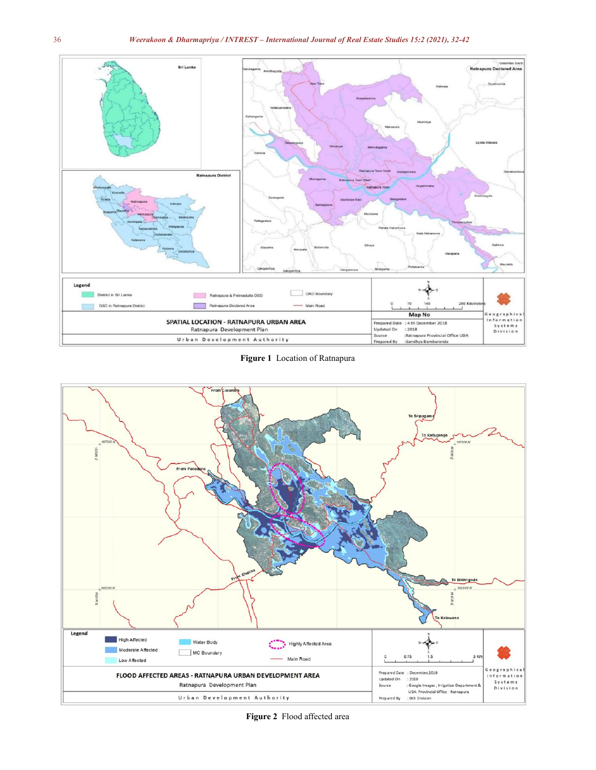

**Figure 1** Location of Ratnapura



**Figure 2** Flood affected area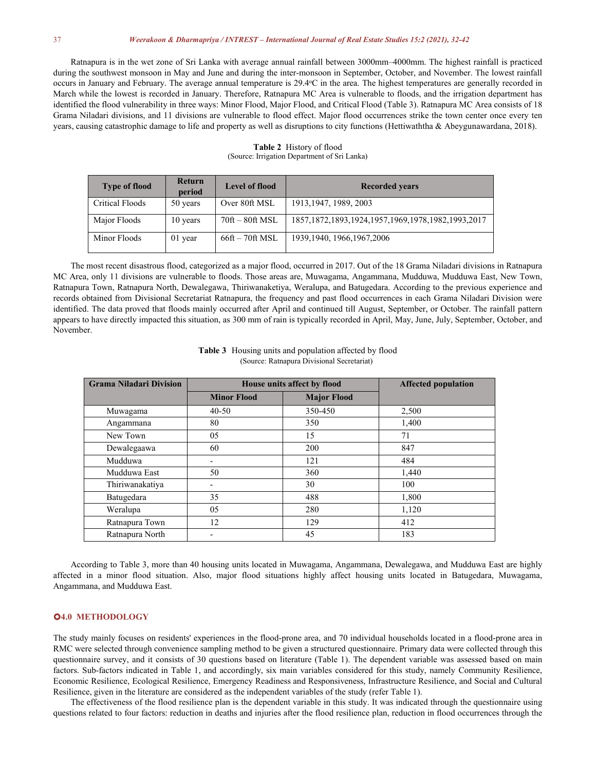Ratnapura is in the wet zone of Sri Lanka with average annual rainfall between 3000mm–4000mm. The highest rainfall is practiced during the southwest monsoon in May and June and during the inter-monsoon in September, October, and November. The lowest rainfall occurs in January and February. The average annual temperature is 29.4°C in the area. The highest temperatures are generally recorded in March while the lowest is recorded in January. Therefore, Ratnapura MC Area is vulnerable to floods, and the irrigation department has identified the flood vulnerability in three ways: Minor Flood, Major Flood, and Critical Flood (Table 3). Ratnapura MC Area consists of 18 Grama Niladari divisions, and 11 divisions are vulnerable to flood effect. Major flood occurrences strike the town center once every ten years, causing catastrophic damage to life and property as well as disruptions to city functions (Hettiwaththa & Abeygunawardana, 2018).

| <b>Type of flood</b> | Return<br>period | Level of flood                          | <b>Recorded years</b>                                      |  |
|----------------------|------------------|-----------------------------------------|------------------------------------------------------------|--|
| Critical Floods      | 50 years         | Over 80ft MSL                           | 1913, 1947, 1989, 2003                                     |  |
| Major Floods         | 10 years         | $70\text{ft} - 80\text{ft} \text{ MSL}$ | 1857, 1872, 1893, 1924, 1957, 1969, 1978, 1982, 1993, 2017 |  |
| Minor Floods         | 01 year          | $66ft - 70ft MSL$                       | 1939, 1940, 1966, 1967, 2006                               |  |

**Table 2** History of flood (Source: Irrigation Department of Sri Lanka)

The most recent disastrous flood, categorized as a major flood, occurred in 2017. Out of the 18 Grama Niladari divisions in Ratnapura MC Area, only 11 divisions are vulnerable to floods. Those areas are, Muwagama, Angammana, Mudduwa, Mudduwa East, New Town, Ratnapura Town, Ratnapura North, Dewalegawa, Thiriwanaketiya, Weralupa, and Batugedara. According to the previous experience and records obtained from Divisional Secretariat Ratnapura, the frequency and past flood occurrences in each Grama Niladari Division were identified. The data proved that floods mainly occurred after April and continued till August, September, or October. The rainfall pattern appears to have directly impacted this situation, as 300 mm of rain is typically recorded in April, May, June, July, September, October, and November.

| <b>Grama Niladari Division</b> | House units affect by flood |                    | <b>Affected population</b> |
|--------------------------------|-----------------------------|--------------------|----------------------------|
|                                | <b>Minor Flood</b>          | <b>Major Flood</b> |                            |
| Muwagama                       | $40 - 50$                   | 350-450            | 2,500                      |
| Angammana                      | 80                          | 350                | 1,400                      |
| New Town                       | 05                          | 15                 | 71                         |
| Dewalegaawa                    | 60                          | 200                | 847                        |
| Mudduwa                        | -                           | 121                | 484                        |
| Mudduwa East                   | 50                          | 360                | 1,440                      |
| Thiriwanakatiya                | -                           | 30                 | 100                        |
| Batugedara                     | 35                          | 488                | 1,800                      |
| Weralupa                       | 05                          | 280                | 1,120                      |
| Ratnapura Town                 | 12                          | 129                | 412                        |
| Ratnapura North                | -                           | 45                 | 183                        |

**Table 3** Housing units and population affected by flood (Source: Ratnapura Divisional Secretariat)

According to Table 3,more than 40 housing units located in Muwagama, Angammana, Dewalegawa, and Mudduwa East are highly affected in a minor flood situation. Also, major flood situations highly affect housing units located in Batugedara, Muwagama, Angammana, and Mudduwa East.

## **4.0 METHODOLOGY**

The study mainly focuses on residents' experiences in the flood-prone area, and 70 individual households located in a flood-prone area in RMC were selected through convenience sampling method to be given a structured questionnaire. Primary data were collected through this questionnaire survey, and it consists of 30 questions based on literature (Table 1). The dependent variable was assessed based on main factors. Sub-factors indicated in Table 1, and accordingly, six main variables considered for this study, namely Community Resilience, Ecological Resilience, Emergency Readiness and Responsiveness, Infrastructure Resilienc Resilience, given in the literature are considered as the independent variables of the study (refer Table 1).

The effectiveness of the flood resilience plan is the dependent variable in this study.It was indicated through the questionnaire using questions related to four factors: reduction in deaths and injuries after the flood resilience plan, reduction in flood occurrences through the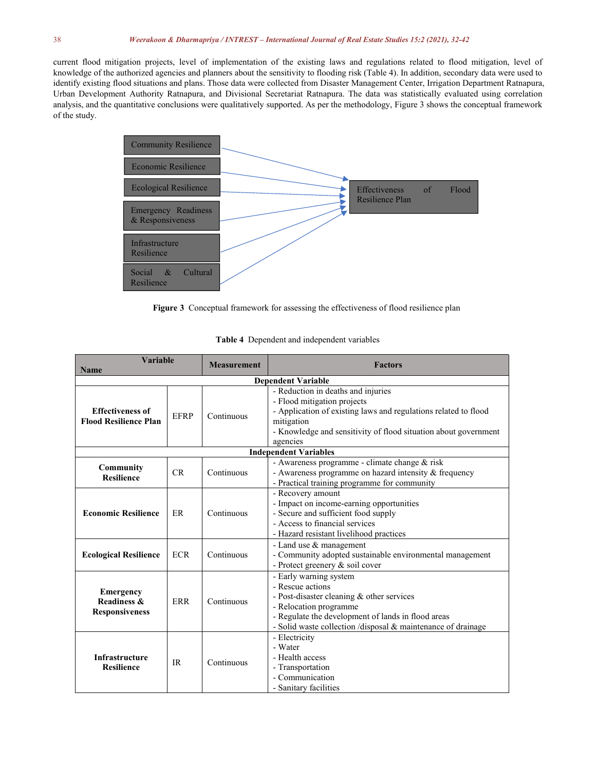current flood mitigation projects, level of implementation of the existing laws and regulations related to flood mitigation, level of knowledge of the authorized agencies and planners about the sensitivity to flooding risk (Table 4). In addition, secondary data were used to identify existing flood situations and plans. Those data were collected from Disaster Management Center, Irrigation Department Ratnapura, Urban Development Authority Ratnapura, and Divisional Secretariat Ratnapura. The data was statistically evaluated using correlation analysis, and the quantitative conclusions were qualitatively supported. As per the methodology, Figure 3 shows the conceptual framework of the study.



Figure 3 Conceptual framework for assessing the effectiveness of flood resilience plan

| <b>Variable</b>                                          |                                                                                                                                        | <b>Measurement</b> | <b>Factors</b>                                                                                                                                                                                                                          |  |
|----------------------------------------------------------|----------------------------------------------------------------------------------------------------------------------------------------|--------------------|-----------------------------------------------------------------------------------------------------------------------------------------------------------------------------------------------------------------------------------------|--|
| <b>Name</b>                                              |                                                                                                                                        |                    |                                                                                                                                                                                                                                         |  |
| <b>Dependent Variable</b>                                |                                                                                                                                        |                    |                                                                                                                                                                                                                                         |  |
| <b>Effectiveness of</b><br><b>Flood Resilience Plan</b>  | <b>EFRP</b>                                                                                                                            | Continuous         | - Reduction in deaths and injuries<br>- Flood mitigation projects<br>- Application of existing laws and regulations related to flood<br>mitigation                                                                                      |  |
|                                                          |                                                                                                                                        |                    | - Knowledge and sensitivity of flood situation about government<br>agencies                                                                                                                                                             |  |
|                                                          |                                                                                                                                        |                    | <b>Independent Variables</b>                                                                                                                                                                                                            |  |
| Community<br><b>Resilience</b>                           | CR                                                                                                                                     | Continuous         | - Awareness programme - climate change & risk<br>- Awareness programme on hazard intensity & frequency<br>- Practical training programme for community                                                                                  |  |
| <b>Economic Resilience</b>                               | ER                                                                                                                                     | Continuous         | - Recovery amount<br>- Impact on income-earning opportunities<br>- Secure and sufficient food supply<br>- Access to financial services<br>- Hazard resistant livelihood practices                                                       |  |
| <b>Ecological Resilience</b>                             | <b>ECR</b>                                                                                                                             | Continuous         | - Land use & management<br>- Community adopted sustainable environmental management<br>- Protect greenery & soil cover                                                                                                                  |  |
| <b>Emergency</b><br>Readiness &<br><b>Responsiveness</b> | <b>ERR</b>                                                                                                                             | Continuous         | - Early warning system<br>- Rescue actions<br>- Post-disaster cleaning & other services<br>- Relocation programme<br>- Regulate the development of lands in flood areas<br>- Solid waste collection /disposal & maintenance of drainage |  |
| <b>Infrastructure</b><br><b>Resilience</b>               | - Electricity<br>- Water<br>- Health access<br><b>IR</b><br>Continuous<br>- Transportation<br>- Communication<br>- Sanitary facilities |                    |                                                                                                                                                                                                                                         |  |

|  |  | <b>Table 4</b> Dependent and independent variables |  |
|--|--|----------------------------------------------------|--|
|--|--|----------------------------------------------------|--|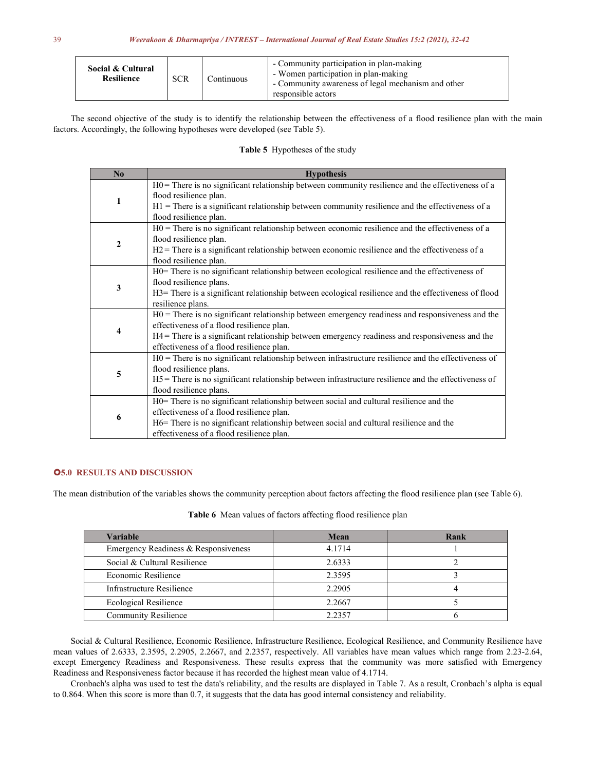| Social & Cultural<br><b>SCR</b><br><b>Resilience</b> |
|------------------------------------------------------|
|------------------------------------------------------|

The second objective of the study is to identify the relationship between the effectiveness of a flood resilience plan with the main factors. Accordingly, the following hypotheses were developed (see Table 5).

## Table 5 Hypotheses of the study

| No | <b>Hypothesis</b>                                                                                      |
|----|--------------------------------------------------------------------------------------------------------|
|    | $H0$ = There is no significant relationship between community resilience and the effectiveness of a    |
| 1  | flood resilience plan.                                                                                 |
|    | $H1$ = There is a significant relationship between community resilience and the effectiveness of a     |
|    | flood resilience plan.                                                                                 |
|    | $H0$ = There is no significant relationship between economic resilience and the effectiveness of a     |
| 2  | flood resilience plan.                                                                                 |
|    | $H2$ = There is a significant relationship between economic resilience and the effectiveness of a      |
|    | flood resilience plan.                                                                                 |
|    | H0= There is no significant relationship between ecological resilience and the effectiveness of        |
| 3  | flood resilience plans.                                                                                |
|    | H3= There is a significant relationship between ecological resilience and the effectiveness of flood   |
|    | resilience plans.                                                                                      |
|    | $H0$ = There is no significant relationship between emergency readiness and responsiveness and the     |
| 4  | effectiveness of a flood resilience plan.                                                              |
|    | H4 = There is a significant relationship between emergency readiness and responsiveness and the        |
|    | effectiveness of a flood resilience plan.                                                              |
|    | $H0$ = There is no significant relationship between infrastructure resilience and the effectiveness of |
| 5  | flood resilience plans.                                                                                |
|    | $H5$ = There is no significant relationship between infrastructure resilience and the effectiveness of |
|    | flood resilience plans.                                                                                |
|    | H0= There is no significant relationship between social and cultural resilience and the                |
| 6  | effectiveness of a flood resilience plan.                                                              |
|    | H6= There is no significant relationship between social and cultural resilience and the                |
|    | effectiveness of a flood resilience plan.                                                              |

## **5.0 RESULTS AND DISCUSSION**

The mean distribution of the variables shows the community perception about factors affecting the flood resilience plan (see Table 6).

| <b>Variable</b>                      | Mean   | Rank |
|--------------------------------------|--------|------|
| Emergency Readiness & Responsiveness | 4.1714 |      |
| Social & Cultural Resilience         | 2.6333 |      |
| Economic Resilience                  | 2.3595 |      |
| Infrastructure Resilience            | 2.2905 |      |
| Ecological Resilience                | 2.2667 |      |
| <b>Community Resilience</b>          | 2.2357 |      |

Table 6 Mean values of factors affecting flood resilience plan

Social & Cultural Resilience, Economic Resilience, Infrastructure Resilience, Ecological Resilience, and Community Resilience have mean values of 2.6333, 2.3595, 2.2905, 2.2667, and 2.2357, respectively. All variables have mean values which range from 2.23-2.64, except Emergency Readiness and Responsiveness. These results express that the community was more satisfied with Emergency Readiness and Responsiveness factor because it has recorded the highest mean value of 4.1714.

Cronbach's alpha was used to test the data's reliability, and the results are displayed in Table 7. As a result, Cronbach's alpha is equal to 0.864. When this score is more than 0.7, it suggests that the data has good internal consistency and reliability.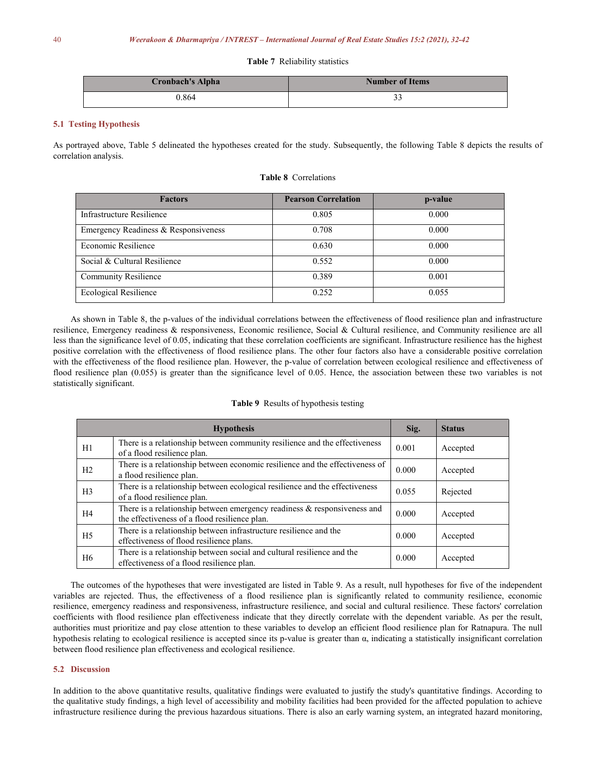## **Table 7** Reliability statistics

| <b>Cronbach's Alpha</b> | <b>Number of Items</b> |
|-------------------------|------------------------|
| 0.864                   |                        |

## **5.1 Testing Hypothesis**

As portrayed above, Table 5 delineated the hypotheses created for the study. Subsequently, the following Table 8 depicts the results of correlation analysis.

## **Table 8** Correlations

| <b>Factors</b>                       | <b>Pearson Correlation</b> | p-value |
|--------------------------------------|----------------------------|---------|
| Infrastructure Resilience            | 0.805                      | 0.000   |
| Emergency Readiness & Responsiveness | 0.708                      | 0.000   |
| Economic Resilience                  | 0.630                      | 0.000   |
| Social & Cultural Resilience         | 0.552                      | 0.000   |
| <b>Community Resilience</b>          | 0.389                      | 0.001   |
| <b>Ecological Resilience</b>         | 0.252                      | 0.055   |

As shown in Table 8, the p-values of the individual correlations between the effectiveness of flood resilience plan and infrastructure resilience, Emergency readiness & responsiveness, Economic resilience, Social & Cultural resilience, and Community resilience are all less than the significance level of 0.05, indicating that these correlation coefficients are significant. Infrastructure resilience has the highest positive correlation with the effectiveness of flood resilience plans. The other four factors also have a considerable positive correlation with the effectiveness of the flood resilience plan. However, the p-value of correlation between ecological resilience and effectiveness of flood resilience plan (0.055) is greater than the significance level of 0.05. Hence, the association between these two variables is not statistically significant.

## **Table 9** Results of hypothesis testing

|                | <b>Hypothesis</b>                                                                                                            | Sig.  | <b>Status</b> |
|----------------|------------------------------------------------------------------------------------------------------------------------------|-------|---------------|
| H1             | There is a relationship between community resilience and the effectiveness<br>of a flood resilience plan.                    | 0.001 | Accepted      |
| H <sub>2</sub> | There is a relationship between economic resilience and the effectiveness of<br>a flood resilience plan.                     | 0.000 | Accepted      |
| H <sub>3</sub> | There is a relationship between ecological resilience and the effectiveness<br>of a flood resilience plan.                   | 0.055 | Rejected      |
| H4             | There is a relationship between emergency readiness $\&$ responsiveness and<br>the effectiveness of a flood resilience plan. | 0.000 | Accepted      |
| H <sub>5</sub> | There is a relationship between infrastructure resilience and the<br>effectiveness of flood resilience plans.                | 0.000 | Accepted      |
| H <sub>6</sub> | There is a relationship between social and cultural resilience and the<br>effectiveness of a flood resilience plan.          | 0.000 | Accepted      |

The outcomes of the hypotheses that were investigated are listed in Table 9.As a result, null hypotheses for five of the independent variables are rejected. Thus, the effectiveness of a flood resilience plan is significantly related to community resilience, economic resilience, emergency readiness and responsiveness, infrastructure resilience, and social and cultural resilience. These factors' correlation coefficients with flood resilience plan effectiveness indicate that they directly correlate with the dependent variable. As per the result, authorities must prioritize and pay close attention to these variables to develop an efficient flood resilience plan for Ratnapura. The null hypothesis relating to ecological resilience is accepted since its p-value is greater than α, indicating a statistically insignificant correlation between flood resilience plan effectiveness and ecological resilience.

## **5.2 Discussion**

In addition to the above quantitative results, qualitative findings were evaluated to justify the study's quantitative findings. According to the qualitative study findings, a high level of accessibility and mobility facilities had been provided for the affected population to achieve infrastructure resilience during the previous hazardous situations. There is also an early warning system, an integrated hazard monitoring,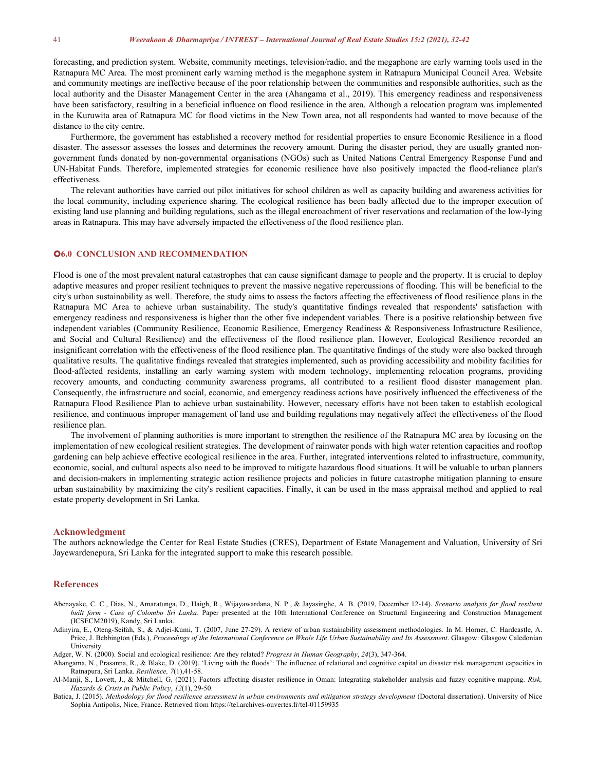forecasting, and prediction system. Website, community meetings, television/radio, and the megaphone are early warning tools used in the Ratnapura MC Area. The most prominent early warning method is the megaphone system in Ratnapura Municipal Council Area. Website and community meetings are ineffective because of the poorrelationship between the communities and responsible authorities, such as the local authority and the Disaster Management Center in the area (Ahangama et al., 2019). This emergency readiness and responsiveness have been satisfactory, resulting in a beneficial influence on flood resilience in the area. Although a relocation program was implemented in the Kuruwita area of Ratnapura MC for flood victims in the New Town area, not all respondents had wanted to move because of the distance to the city centre.

Furthermore, the government has established a recovery method for residential properties to ensure Economic Resilience in a flood disaster. The assessor assesses the losses and determines the recovery amount. During the disaster period, they are usually granted non government funds donated by non-governmental organisations (NGOs) such as United Nations Central Emergency Response Fund and UN-Habitat Funds. Therefore, implemented strategies for economic resilience have also positively impacted the flood-reliance plan's effectiveness.

The relevant authorities have carried out pilot initiatives for school children as well as capacity building and awareness activities for the local community, including experience sharing. The ecological resilience has been badly affected due to the improper execution of existing land use planning and building regulations, such as the illegal encroachment of river reservations and reclamation of the low-lying areas in Ratnapura. This may have adversely impacted the effectiveness of the flood resilience plan.

### **6.0 CONCLUSION AND RECOMMENDATION**

Flood is one of the most prevalent natural catastrophes that can cause significant damage to people and the property. It is crucial to deploy adaptive measures and proper resilient techniques to prevent the massive negative repercussions of flooding. This will be beneficial to the city's urban sustainability as well. Therefore, the study aims to assess the factors affecting the effectiveness offlood resilience plans in the Ratnapura MC Area to achieve urban sustainability. The study's quantitative findings revealed that respondents' satisfaction with emergency readiness and responsiveness is higher than the other five independent variables. There is a positive relationship between five independent variables (Community Resilience, Economic Resilience, Emergency Readiness & Responsiveness Infrastructure Resilience, and Social and Cultural Resilience) and the effectiveness of the flood resilience plan. However, Ecological Resilience recorded an insignificant correlation with the effectiveness of the flood resilience plan. The quantitative findings of the study were also backed through qualitative results. The qualitative findings revealed that strategies implemented, such as providing accessibility and mobility facilities for flood-affected residents, installing an early warning system with modern technology, implementing relocation programs, providing recovery amounts, and conducting community awareness programs, all contributed to a resilient flood disaster management plan. Consequently, the infrastructure and social, economic, and emergency readiness actions have positively influenced the effectiveness of the Ratnapura Flood Resilience Plan to achieve urban sustainability. However, necessary efforts have not been taken to establish ecological resilience, and continuous improper management of land use and building regulations may negatively affect the effectiveness of the flood resilience plan.

The involvement of planning authorities is more important to strengthen the resilience of the Ratnapura MC area by focusing on the implementation of new ecological resilient strategies. The development of rainwater ponds with high water retention capacities and rooftop gardening can help achieve effective ecological resilience in the area. Further, integrated interventions related to infrastructure, community, economic, social, and cultural aspects also need to be improved to mitigate hazardous flood situations. It will be valuable to urban planners and decision-makers in implementing strategic action resilience projects and policies in future catastrophe mitigation planning to ensure urban sustainability by maximizing the city's resilient capacities. Finally, it can be used in the mass appraisal method and applied to real estate property development in Sri Lanka.

#### **Acknowledgment**

The authors acknowledge the Center for Real Estate Studies (CRES), Department of Estate Management and Valuation, University of Sri Jayewardenepura, Sri Lanka for the integrated support to make this research possible.

#### **References**

- Abenayake, C. C., Dias, N., Amaratunga, D., Haigh, R., Wijayawardana, N. P., & Jayasinghe, A. B. (2019, December 12-14). *Scenario analysis for flood resilient built form - Case of Colombo Sri Lanka*. Paper presented at the 10th International Conference on Structural Engineering and Construction Management (ICSECM2019), Kandy, Sri Lanka.
- Adinyira, E., Oteng-Seifah, S., & Adjei-Kumi, T. (2007, June 27-29). A review of urban sustainability assessment methodologies*.* In M. Horner, C. Hardcastle, A. Price, J. Bebbington (Eds.), Proceedings of the International Conference on Whole Life Urban Sustainability and Its Assessment. Glasgow: Glasgow Caledonian University.

Adger, W. N. (2000). Social and ecological resilience: Are they related? *Progress in Human Geography*, *24*(3), 347-364.

Ahangama, N., Prasanna, R., & Blake, D. (2019). 'Living with the floods': The influence of relational and cognitive capital on disaster risk management capacities in Ratnapura, Sri Lanka. *Resilience, 7*(1),41-58.

Al‐Manji, S., Lovett, J., & Mitchell, G. (2021). Factors affecting disaster resilience in Oman: Integrating stakeholder analysis and fuzzy cognitive mapping. *Risk, Hazards & Crisis in Public Policy*, *12*(1), 29-50.

Batica, J. (2015). Methodology for flood resilience assessment in urban environments and mitigation strategy development (Doctoral dissertation). University of Nice Sophia Antipolis, Nice, France. Retrieved from https://tel.archives-ouvertes.fr/tel-01159935